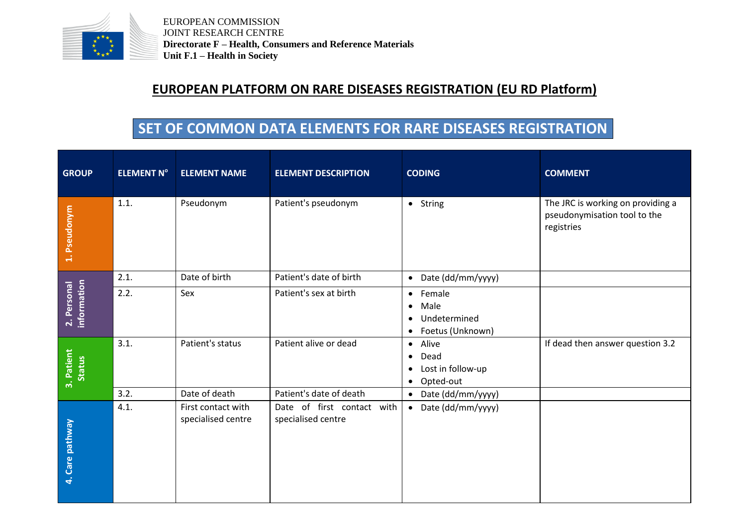

EUROPEAN COMMISSION JOINT RESEARCH CENTRE **Directorate F – Health, Consumers and Reference Materials Unit F.1 – Health in Society**

## **EUROPEAN PLATFORM ON RARE DISEASES REGISTRATION (EU RD Platform)**

## **SET OF COMMON DATA ELEMENTS FOR RARE DISEASES REGISTRATION**

| <b>GROUP</b>               | <b>ELEMENT N°</b> | <b>ELEMENT NAME</b>                      | <b>ELEMENT DESCRIPTION</b>                       | <b>CODING</b>                                                                                          | <b>COMMENT</b>                                                                  |
|----------------------------|-------------------|------------------------------------------|--------------------------------------------------|--------------------------------------------------------------------------------------------------------|---------------------------------------------------------------------------------|
| 1. Pseudonym               | 1.1.              | Pseudonym                                | Patient's pseudonym                              | • String                                                                                               | The JRC is working on providing a<br>pseudonymisation tool to the<br>registries |
| information<br>2. Personal | 2.1.              | Date of birth                            | Patient's date of birth                          | Date (dd/mm/yyyy)<br>$\bullet$                                                                         |                                                                                 |
|                            | 2.2.              | Sex                                      | Patient's sex at birth                           | Female<br>$\bullet$<br>Male<br>$\bullet$<br>Undetermined<br>$\bullet$<br>Foetus (Unknown)<br>$\bullet$ |                                                                                 |
| 3. Patient<br>Status       | 3.1.              | Patient's status                         | Patient alive or dead                            | Alive<br>$\bullet$<br>Dead<br>$\bullet$<br>Lost in follow-up<br>$\bullet$<br>Opted-out<br>$\bullet$    | If dead then answer question 3.2                                                |
|                            | 3.2.              | Date of death                            | Patient's date of death                          | Date (dd/mm/yyyy)<br>$\bullet$                                                                         |                                                                                 |
| 4. Care pathway            | 4.1.              | First contact with<br>specialised centre | Date of first contact with<br>specialised centre | Date (dd/mm/yyyy)<br>$\bullet$                                                                         |                                                                                 |